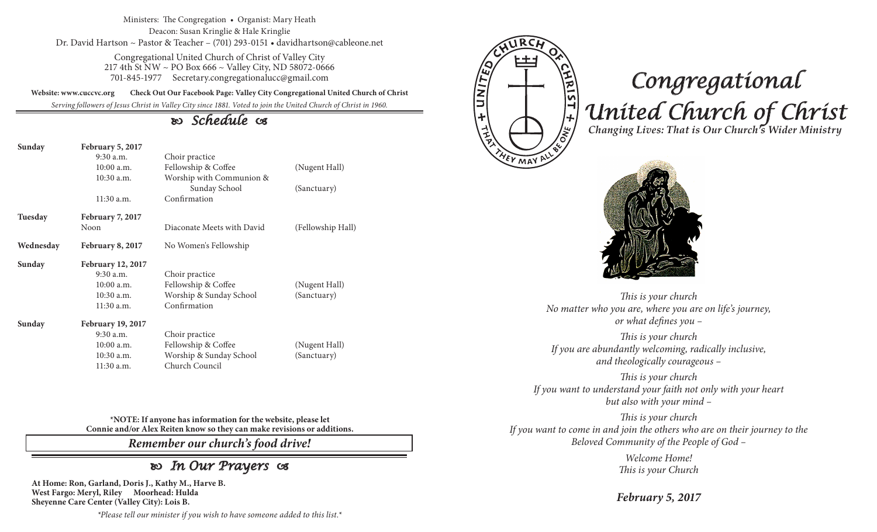Ministers: The Congregation • Organist: Mary Heath Deacon: Susan Kringlie & Hale Kringlie Dr. David Hartson ~ Pastor & Teacher – (701) 293-0151 • davidhartson@cableone.net

> Congregational United Church of Christ of Valley City 217 4th St NW ~ PO Box 666 ~ Valley City, ND 58072-0666 701-845-1977 Secretary.congregationalucc@gmail.com

**Website: www.cuccvc.org Check Out Our Facebook Page: Valley City Congregational United Church of Christ**

*Serving followers of Jesus Christ in Valley City since 1881. Voted to join the United Church of Christ in 1960.*

# *Schedule*

| Sunday    | February 5, 2017<br>$9:30$ a.m. |                                           |                   |
|-----------|---------------------------------|-------------------------------------------|-------------------|
|           | 10:00 a.m.                      | Choir practice<br>Fellowship & Coffee     | (Nugent Hall)     |
|           | $10:30$ a.m.                    |                                           |                   |
|           |                                 | Worship with Communion &<br>Sunday School | (Sanctuary)       |
|           | $11:30$ a.m.                    | Confirmation                              |                   |
| Tuesday   | February 7, 2017                |                                           |                   |
|           | <b>Noon</b>                     | Diaconate Meets with David                | (Fellowship Hall) |
| Wednesday | February 8, 2017                | No Women's Fellowship                     |                   |
| Sunday    | February 12, 2017               |                                           |                   |
|           | $9:30$ a.m.                     | Choir practice                            |                   |
|           | $10:00$ a.m.                    | Fellowship & Coffee                       | (Nugent Hall)     |
|           | $10:30$ a.m.                    | Worship & Sunday School                   | (Sanctuary)       |
|           | 11:30 a.m.                      | Confirmation                              |                   |
| Sunday    | <b>February 19, 2017</b>        |                                           |                   |
|           | $9:30$ a.m.                     | Choir practice                            |                   |
|           | $10:00$ a.m.                    | Fellowship & Coffee                       | (Nugent Hall)     |
|           | 10:30 a.m.                      | Worship & Sunday School                   | (Sanctuary)       |
|           | 11:30 a.m.                      | Church Council                            |                   |

**\*NOTE: If anyone has information for the website, please let Connie and/or Alex Reiten know so they can make revisions or additions.**

*Remember our church's food drive!*

# *In Our Prayers*

**At Home: Ron, Garland, Doris J., Kathy M., Harve B. West Fargo: Meryl, Riley Moorhead: Hulda Sheyenne Care Center (Valley City): Lois B.**

*\*Please tell our minister if you wish to have someone added to this list.\**



# *Congregational United Church of Christ Changing Lives: That is Our Church's Wider Ministry*



*This is your church No matter who you are, where you are on life's journey, or what defines you –*

*This is your church If you are abundantly welcoming, radically inclusive, and theologically courageous –*

*This is your church If you want to understand your faith not only with your heart but also with your mind –*

*This is your church If you want to come in and join the others who are on their journey to the Beloved Community of the People of God –*

> *Welcome Home! This is your Church*

*February 5, 2017*